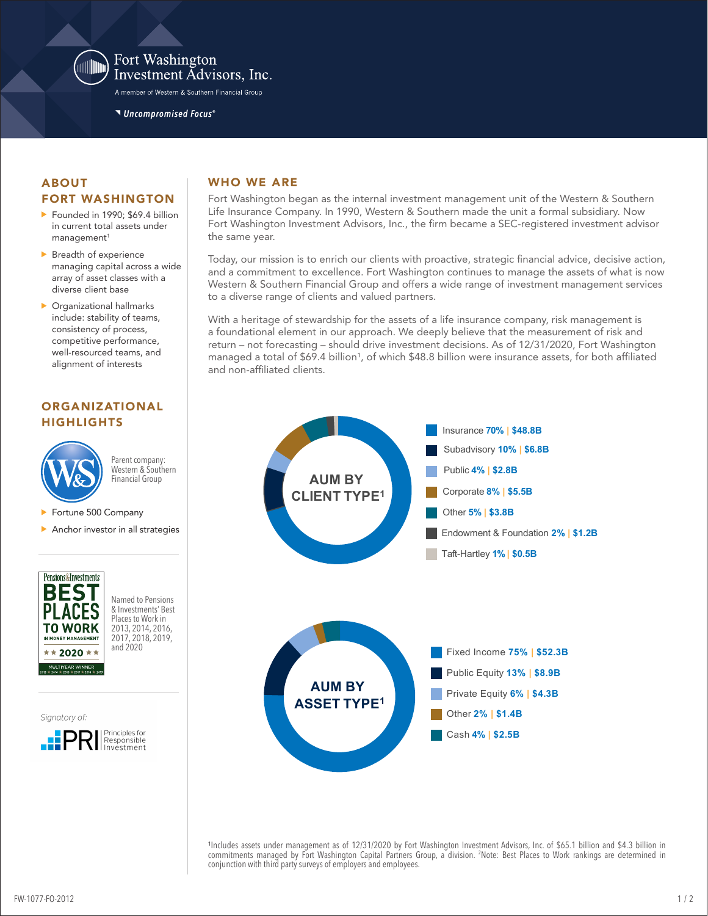

#### Fort Washington Investment Advisors, Inc.

A member of Western & Southern Financial Group

Uncompromised Focus®

#### ABOUT FORT WASHINGTON

- Founded in 1990: \$69.4 billion in current total assets under  $m$ anagement $1$
- Breadth of experience managing capital across a wide array of asset classes with a diverse client base
- Organizational hallmarks include: stability of teams, consistency of process, competitive performance, well-resourced teams, and alignment of interests

# ORGANIZATIONAL **HIGHLIGHTS**



Parent company: Western & Southern Financial Group

- Fortune 500 Company
- Anchor investor in all strategies



Named to Pensions & Investments' Best Places to Work in 2013, 2014, 2016, 2017, 2018, 2019, and 2020

Signatory of:



## WHO WE ARE

Fort Washington began as the internal investment management unit of the Western & Southern Life Insurance Company. In 1990, Western & Southern made the unit a formal subsidiary. Now Fort Washington Investment Advisors, Inc., the firm became a SEC-registered investment advisor the same year.

Today, our mission is to enrich our clients with proactive, strategic financial advice, decisive action, and a commitment to excellence. Fort Washington continues to manage the assets of what is now Western & Southern Financial Group and offers a wide range of investment management services to a diverse range of clients and valued partners.

With a heritage of stewardship for the assets of a life insurance company, risk management is a foundational element in our approach. We deeply believe that the measurement of risk and return – not forecasting – should drive investment decisions. As of 12/31/2020, Fort Washington managed a total of \$69.4 billion<sup>1</sup>, of which \$48.8 billion were insurance assets, for both affiliated and non-affiliated clients.



1Includes assets under management as of 12/31/2020 by Fort Washington Investment Advisors, Inc. of \$65.1 billion and \$4.3 billion in commitments managed by Fort Washington Capital Partners Group, a division. 2 Note: Best Places to Work rankings are determined in conjunction with third party surveys of employers and employees.